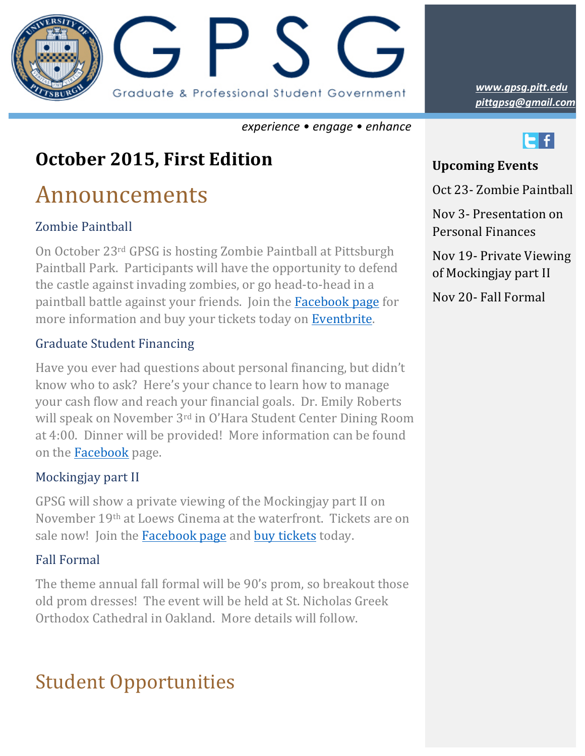

*experience • engage • enhance*

## **October 2015, First Edition**

# Announcements

### Zombie Paintball

On October 23<sup>rd</sup> GPSG is hosting Zombie Paintball at Pittsburgh Paintball Park. Participants will have the opportunity to defend the castle against invading zombies, or go head-to-head in a paintball battle against your friends. Join the **Facebook page** for more information and buy your tickets today on Eventbrite.

### Graduate Student Financing

Have you ever had questions about personal financing, but didn't know who to ask? Here's your chance to learn how to manage your cash flow and reach your financial goals. Dr. Emily Roberts will speak on November  $3<sup>rd</sup>$  in O'Hara Student Center Dining Room at 4:00. Dinner will be provided! More information can be found on the **Facebook** page.

### Mockingjay part II

GPSG will show a private viewing of the Mockingjay part II on November 19<sup>th</sup> at Loews Cinema at the waterfront. Tickets are on sale now! Join the Facebook page and buy tickets today.

### Fall Formal

The theme annual fall formal will be 90's prom, so breakout those old prom dresses! The event will be held at St. Nicholas Greek Orthodox Cathedral in Oakland. More details will follow.

# **Student Opportunities**

*pittgpsg@gmail.com www.gpsg.pitt.edu*



### **Upcoming Events**

Oct 23- Zombie Paintball

Nov 3- Presentation on Personal Finances

Nov 19- Private Viewing of Mockingjay part II

Nov 20- Fall Formal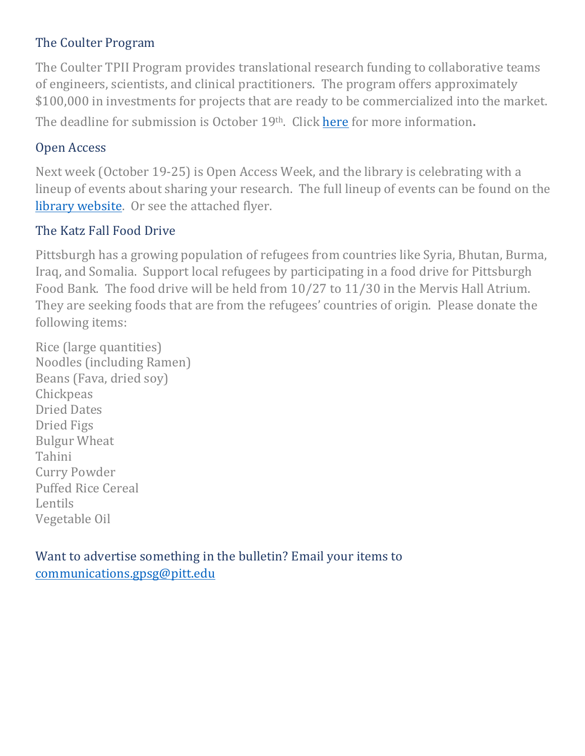### The Coulter Program

The Coulter TPII Program provides translational research funding to collaborative teams of engineers, scientists, and clinical practitioners. The program offers approximately \$100,000 in investments for projects that are ready to be commercialized into the market. The deadline for submission is October  $19<sup>th</sup>$ . Click here for more information.

#### Open Access

Next week (October 19-25) is Open Access Week, and the library is celebrating with a lineup of events about sharing your research. The full lineup of events can be found on the library website. Or see the attached flyer.

### The Katz Fall Food Drive

Pittsburgh has a growing population of refugees from countries like Syria, Bhutan, Burma, Iraq, and Somalia. Support local refugees by participating in a food drive for Pittsburgh Food Bank. The food drive will be held from  $10/27$  to  $11/30$  in the Mervis Hall Atrium. They are seeking foods that are from the refugees' countries of origin. Please donate the following items:

Rice (large quantities) Noodles (including Ramen) Beans (Fava, dried soy) **Chickpeas** Dried Dates Dried Figs **Bulgur** Wheat Tahini Curry Powder Puffed Rice Cereal Lentils Vegetable Oil

Want to advertise something in the bulletin? Email your items to [communications.gpsg@pitt.edu](mailto:communications.gpsg@pitt.edu)